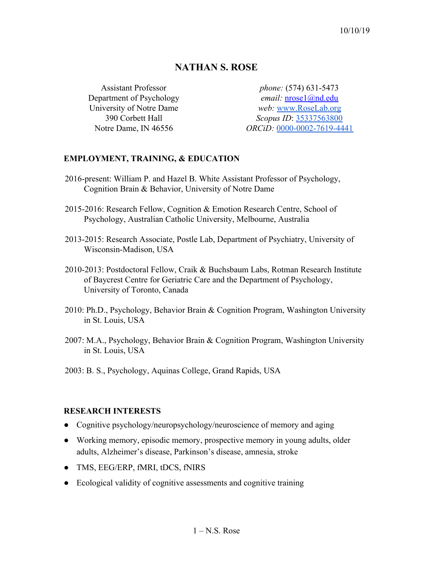# **NATHAN S. ROSE**

Assistant Professor Department of Psychology University of Notre Dame 390 Corbett Hall Notre Dame, IN 46556

*phone:* (574) 631-5473 *email:* [nrose1@nd.edu](mailto:nrose1@nd.edu) *web:* [www.RoseLab.org](http://www.roselab.org/) *Scopus ID*: [35337563800](https://www.scopus.com/authid/detail.uri?authorId=35337563800) *ORCiD:* [0000-0002-7619-4441](http://orcid.org/0000-0002-7619-4441)

## **EMPLOYMENT, TRAINING, & EDUCATION**

- 2016-present: William P. and Hazel B. White Assistant Professor of Psychology, Cognition Brain & Behavior, University of Notre Dame
- 2015-2016: Research Fellow, Cognition & Emotion Research Centre, School of Psychology, Australian Catholic University, Melbourne, Australia
- 2013-2015: Research Associate, Postle Lab, Department of Psychiatry, University of Wisconsin-Madison, USA
- 2010-2013: Postdoctoral Fellow, Craik & Buchsbaum Labs, Rotman Research Institute of Baycrest Centre for Geriatric Care and the Department of Psychology, University of Toronto, Canada
- 2010: Ph.D., Psychology, Behavior Brain & Cognition Program, Washington University in St. Louis, USA
- 2007: M.A., Psychology, Behavior Brain & Cognition Program, Washington University in St. Louis, USA
- 2003: B. S., Psychology, Aquinas College, Grand Rapids, USA

## **RESEARCH INTERESTS**

- Cognitive psychology/neuropsychology/neuroscience of memory and aging
- Working memory, episodic memory, prospective memory in young adults, older adults, Alzheimer's disease, Parkinson's disease, amnesia, stroke
- TMS, EEG/ERP, fMRI, tDCS, fNIRS
- Ecological validity of cognitive assessments and cognitive training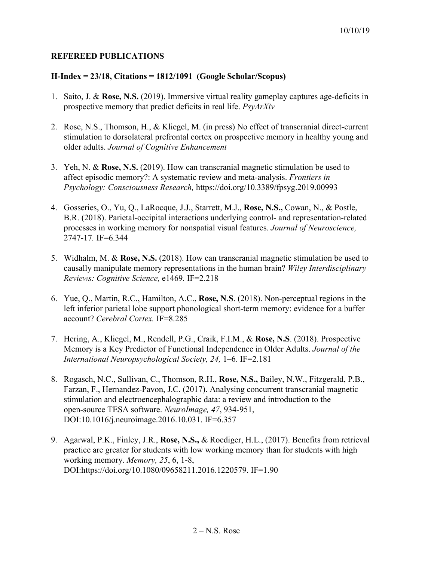## **REFEREED PUBLICATIONS**

### **H-Index = 23/18, Citations = 1812/1091 (Google Scholar/Scopus)**

- 1. Saito, J. & **Rose, N.S.** (2019). Immersive virtual reality gameplay captures age-deficits in prospective memory that predict deficits in real life. *PsyArXiv*
- 2. Rose, N.S., Thomson, H., & Kliegel, M. (in press) No effect of transcranial direct-current stimulation to dorsolateral prefrontal cortex on prospective memory in healthy young and older adults. *Journal of Cognitive Enhancement*
- 3. Yeh, N. & **Rose, N.S.** (2019). How can transcranial magnetic stimulation be used to affect episodic memory?: A systematic review and meta-analysis. *Frontiers in Psychology: Consciousness Research,* https://doi.org/10.3389/fpsyg.2019.00993
- 4. Gosseries, O., Yu, Q., LaRocque, J.J., Starrett, M.J., **Rose, N.S.,** Cowan, N., & Postle, B.R. (2018). Parietal-occipital interactions underlying control- and representation-related processes in working memory for nonspatial visual features. *Journal of Neuroscience,* 2747-17*.* IF=6.344
- 5. Widhalm, M. & **Rose, N.S.** (2018). How can transcranial magnetic stimulation be used to causally manipulate memory representations in the human brain? *Wiley Interdisciplinary Reviews: Cognitive Science,* e1469*.* IF=2.218
- 6. Yue, Q., Martin, R.C., Hamilton, A.C., **Rose, N.S**. (2018). Non-perceptual regions in the left inferior parietal lobe support phonological short-term memory: evidence for a buffer account? *Cerebral Cortex.* IF=8.285
- 7. Hering, A., Kliegel, M., Rendell, P.G., Craik, F.I.M., & **Rose, N.S**. (2018). Prospective Memory is a Key Predictor of Functional Independence in Older Adults. *Journal of the International Neuropsychological Society, 24,* 1–6*.* IF=2.181
- 8. Rogasch, N.C., Sullivan, C., Thomson, R.H., **Rose, N.S.,** Bailey, N.W., Fitzgerald, P.B., Farzan, F., Hernandez-Pavon, J.C. (2017). Analysing concurrent transcranial magnetic stimulation and electroencephalographic data: a review and introduction to the open-source TESA software. *NeuroImage, 47*, 934-951, DOI:10.1016/j.neuroimage.2016.10.031. IF=6.357
- 9. Agarwal, P.K., Finley, J.R., **Rose, N.S.,** & Roediger, H.L., (2017). Benefits from retrieval practice are greater for students with low working memory than for students with high working memory. *Memory, 25*, 6, 1-8, DOI:https://doi.org/10.1080/09658211.2016.1220579. IF=1.90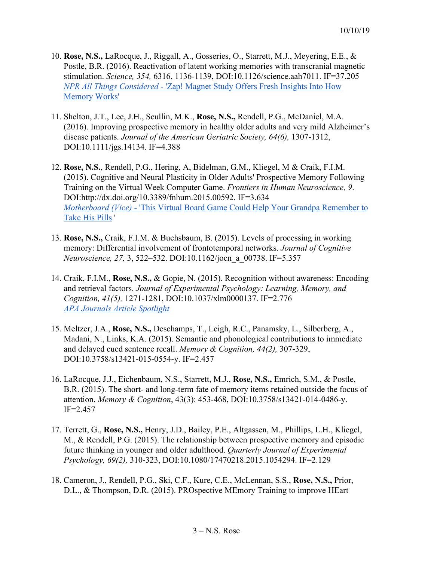- 10. **Rose, N.S.,** LaRocque, J., Riggall, A., Gosseries, O., Starrett, M.J., Meyering, E.E., & Postle, B.R. (2016). Reactivation of latent working memories with transcranial magnetic stimulation. *Science, 354,* 6316, 1136-1139, DOI:10.1126/science.aah7011. IF=37.205 *[NPR All Things Considered -](http://www.npr.org/sections/health-shots/2016/12/01/504004353/zap-magnet-study-offers-fresh-insights-into-how-memory-works)* ['Zap! Magnet Study Offers Fresh Insights Into How](http://www.npr.org/sections/health-shots/2016/12/01/504004353/zap-magnet-study-offers-fresh-insights-into-how-memory-works) [Memory Works'](http://www.npr.org/sections/health-shots/2016/12/01/504004353/zap-magnet-study-offers-fresh-insights-into-how-memory-works)
- 11. Shelton, J.T., Lee, J.H., Scullin, M.K., **Rose, N.S.,** Rendell, P.G., McDaniel, M.A. (2016). Improving prospective memory in healthy older adults and very mild Alzheimer's disease patients. *Journal of the American Geriatric Society, 64(6),* 1307-1312, DOI:10.1111/jgs.14134. IF=4.388
- 12. **Rose, N.S.**, Rendell, P.G., Hering, A, Bidelman, G.M., Kliegel, M & Craik, F.I.M. (2015). Cognitive and Neural Plasticity in Older Adults' Prospective Memory Following Training on the Virtual Week Computer Game. *Frontiers in Human Neuroscience, 9*. DOI:http://dx.doi.org/10.3389/fnhum.2015.00592. IF=3.634 *[Motherboard \(Vice\)](http://motherboard.vice.com/read/this-virtual-board-game-could-help-your-grandpa-remember-to-take-his-pills)* [- 'This Virtual Board Game Could Help Your Grandpa Remember to](http://motherboard.vice.com/read/this-virtual-board-game-could-help-your-grandpa-remember-to-take-his-pills) [Take His Pills](http://motherboard.vice.com/read/this-virtual-board-game-could-help-your-grandpa-remember-to-take-his-pills) '
- 13. **Rose, N.S.,** Craik, F.I.M. & Buchsbaum, B. (2015). Levels of processing in working memory: Differential involvement of frontotemporal networks. *Journal of Cognitive Neuroscience, 27,* 3, 522–532. DOI:10.1162/jocn\_a\_00738. IF=5.357
- 14. Craik, F.I.M., **Rose, N.S.,** & Gopie, N. (2015). Recognition without awareness: Encoding and retrieval factors. *Journal of Experimental Psychology: Learning, Memory, and Cognition, 41(5),* 1271-1281, DOI:10.1037/xlm0000137. IF=2.776 *[APA Journals Article Spotlight](http://www.apa.org/pubs/highlights/spotlight/issue-58.aspx)*
- 15. Meltzer, J.A., **Rose, N.S.,** Deschamps, T., Leigh, R.C., Panamsky, L., Silberberg, A., Madani, N., Links, K.A. (2015). Semantic and phonological contributions to immediate and delayed cued sentence recall. *Memory & Cognition, 44(2),* 307-329, DOI:10.3758/s13421-015-0554-y. IF=2.457
- 16. LaRocque, J.J., Eichenbaum, N.S., Starrett, M.J., **Rose, N.S.,** Emrich, S.M., & Postle, B.R. (2015). The short- and long-term fate of memory items retained outside the focus of attention. *Memory & Cognition*, 43(3): 453-468, DOI:10.3758/s13421-014-0486-y. IF=2.457
- 17. Terrett, G., **Rose, N.S.,** Henry, J.D., Bailey, P.E., Altgassen, M., Phillips, L.H., Kliegel, M., & Rendell, P.G. (2015). The relationship between prospective memory and episodic future thinking in younger and older adulthood. *Quarterly Journal of Experimental Psychology, 69(2),* 310-323, DOI:10.1080/17470218.2015.1054294. IF=2.129
- 18. Cameron, J., Rendell, P.G., Ski, C.F., Kure, C.E., McLennan, S.S., **Rose, N.S.,** Prior, D.L., & Thompson, D.R. (2015). PROspective MEmory Training to improve HEart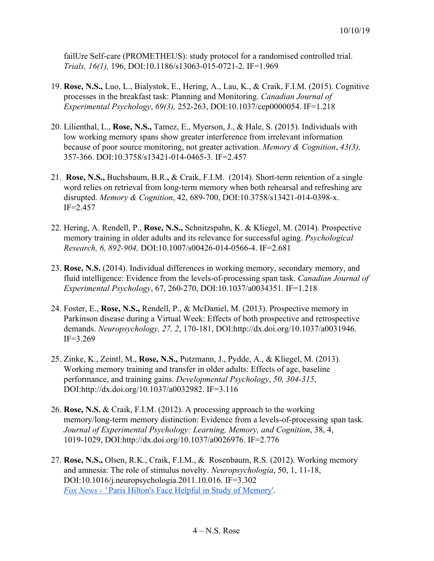failUre Self-care (PROMETHEUS): study protocol for a randomised controlled trial. *Trials, 16(1),* 196, DOI:10.1186/s13063-015-0721-2. IF=1.969

- 19. **Rose, N.S.,** Luo, L., Bialystok, E., Hering, A., Lau, K., & Craik, F.I.M. (2015). Cognitive processes in the breakfast task: Planning and Monitoring. *Canadian Journal of Experimental Psychology*, *69(3),* 252-263, DOI:10.1037/cep0000054. IF=1.218
- 20. Lilienthal, L., **Rose, N.S.,** Tamez, E., Myerson, J., & Hale, S. (2015). Individuals with low working memory spans show greater interference from irrelevant information because of poor source monitoring, not greater activation. *Memory & Cognition*, *43(3),* 357-366. DOI:10.3758/s13421-014-0465-3. IF=2.457
- 21. **Rose, N.S.,** Buchsbaum, B.R.**,** & Craik, F.I.M. (2014). Short-term retention of a single word relies on retrieval from long-term memory when both rehearsal and refreshing are disrupted. *Memory & Cognition*, 42, 689-700, DOI:10.3758/s13421-014-0398-x. IF=2.457
- 22. Hering, A. Rendell, P., **Rose, N.S.,** Schnitzspahn, K. & Kliegel, M. (2014). Prospective memory training in older adults and its relevance for successful aging. *Psychological Research, 6, 892-904,* DOI:10.1007/s00426-014-0566-4. IF=2.681
- 23. **Rose, N.S.** (2014). Individual differences in working memory, secondary memory, and fluid intelligence: Evidence from the levels-of-processing span task. *Canadian Journal of Experimental Psychology*, 67, 260-270, DOI:10.1037/a0034351. IF=1.218
- 24. Foster, E., **Rose, N.S.,** Rendell, P., & McDaniel, M. (2013). Prospective memory in Parkinson disease during a Virtual Week: Effects of both prospective and retrospective demands. *Neuropsychology, 27, 2*, 170-181, DOI:http://dx.doi.org/10.1037/a0031946. IF=3.269
- 25. Zinke, K., Zeintl, M., **Rose, N.S.,** Putzmann, J., Pydde, A., & Kliegel, M. (2013). Working memory training and transfer in older adults: Effects of age, baseline performance, and training gains. *Developmental Psychology*, *50, 304-315*, DOI:http://dx.doi.org/10.1037/a0032982. IF=3.116
- 26. **Rose, N.S.** & Craik, F.I.M. (2012). A processing approach to the working memory/long-term memory distinction: Evidence from a levels-of-processing span task. *Journal of Experimental Psychology: Learning, Memory, and Cognition*, 38, 4, 1019-1029, DOI:http://dx.doi.org/10.1037/a0026976. IF=2.776
- 27. **Rose, N.S.,** Olsen, R.K., Craik, F.I.M., & Rosenbaum, R.S. (2012). Working memory and amnesia: The role of stimulus novelty. *Neuropsychologia*, 50, 1, 11-18, DOI:10.1016/j.neuropsychologia.2011.10.016. IF=3.302 *[Fox News - '](http://www.foxnews.com/health/2011/11/10/paris-hiltons-face-helpful-in-study-memory.html)* [Paris Hilton's Face Helpful in Study of Memory'.](http://www.foxnews.com/health/2011/11/10/paris-hiltons-face-helpful-in-study-memory.html)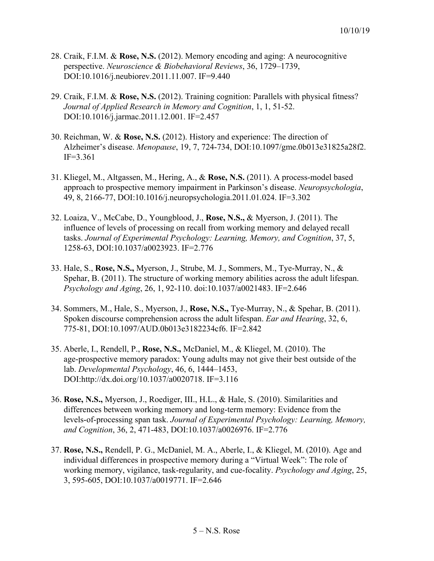- 28. Craik, F.I.M. & **Rose, N.S.** (2012). Memory encoding and aging: A neurocognitive perspective. *Neuroscience & Biobehavioral Reviews*, 36, 1729–1739, DOI:10.1016/j.neubiorev.2011.11.007. IF=9.440
- 29. Craik, F.I.M. & **Rose, N.S.** (2012). Training cognition: Parallels with physical fitness? *Journal of Applied Research in Memory and Cognition*, 1, 1, 51-52. DOI:10.1016/j.jarmac.2011.12.001. IF=2.457
- 30. Reichman, W. & **Rose, N.S.** (2012). History and experience: The direction of Alzheimer's disease. *Menopause*, 19, 7, 724-734, DOI:10.1097/gme.0b013e31825a28f2. IF=3.361
- 31. Kliegel, M., Altgassen, M., Hering, A., & **Rose, N.S.** (2011). A process-model based approach to prospective memory impairment in Parkinson's disease. *Neuropsychologia*, 49, 8, 2166-77, DOI:10.1016/j.neuropsychologia.2011.01.024. IF=3.302
- 32. Loaiza, V., McCabe, D., Youngblood, J., **Rose, N.S.,** & Myerson, J. (2011). The influence of levels of processing on recall from working memory and delayed recall tasks. *Journal of Experimental Psychology: Learning, Memory, and Cognition*, 37, 5, 1258-63, DOI:10.1037/a0023923. IF=2.776
- 33. Hale, S., **Rose, N.S.,** Myerson, J., Strube, M. J., Sommers, M., Tye-Murray, N., & Spehar, B. (2011). The structure of working memory abilities across the adult lifespan. *Psychology and Aging*, 26, 1, 92-110. doi:10.1037/a0021483. IF=2.646
- 34. Sommers, M., Hale, S., Myerson, J., **Rose, N.S.,** Tye-Murray, N., & Spehar, B. (2011). Spoken discourse comprehension across the adult lifespan. *Ear and Hearing*, 32, 6, 775-81, DOI:10.1097/AUD.0b013e3182234cf6. IF=2.842
- 35. Aberle, I., Rendell, P., **Rose, N.S.,** McDaniel, M., & Kliegel, M. (2010). The age-prospective memory paradox: Young adults may not give their best outside of the lab. *Developmental Psychology*, 46, 6, 1444–1453, DOI:http://dx.doi.org/10.1037/a0020718. IF=3.116
- 36. **Rose, N.S.,** Myerson, J., Roediger, III., H.L., & Hale, S. (2010). Similarities and differences between working memory and long-term memory: Evidence from the levels-of-processing span task. *Journal of Experimental Psychology: Learning, Memory, and Cognition*, 36, 2, 471-483, DOI:10.1037/a0026976. IF=2.776
- 37. **Rose, N.S.,** Rendell, P. G., McDaniel, M. A., Aberle, I., & Kliegel, M. (2010). Age and individual differences in prospective memory during a "Virtual Week": The role of working memory, vigilance, task-regularity, and cue-focality. *Psychology and Aging*, 25, 3, 595-605, DOI:10.1037/a0019771. IF=2.646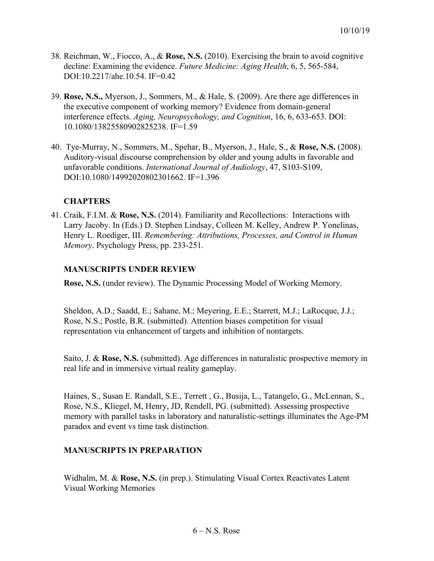- 38. Reichman, W., Fiocco, A., & **Rose, N.S.** (2010). Exercising the brain to avoid cognitive decline: Examining the evidence. *Future Medicine: Aging Health*, 6, 5, 565-584, DOI:10.2217/ahe.10.54. IF=0.42
- 39. **Rose, N.S.,** Myerson, J., Sommers, M., & Hale, S. (2009). Are there age differences in the executive component of working memory? Evidence from domain-general interference effects. *Aging, Neuropsychology, and Cognition*, 16, 6, 633-653. DOI: 10.1080/13825580902825238. IF=1.59
- 40. Tye-Murray, N., Sommers, M., Spehar, B., Myerson, J., Hale, S., & **Rose, N.S.** (2008). Auditory-visual discourse comprehension by older and young adults in favorable and unfavorable conditions. *International Journal of Audiology*, 47, S103-S109, DOI:10.1080/14992020802301662. IF=1.396

## **CHAPTERS**

41. Craik, F.I.M. & **Rose, N.S.** (2014). Familiarity and Recollections: Interactions with Larry Jacoby. In (Eds.) D. Stephen Lindsay, Colleen M. Kelley, Andrew P. Yonelinas, Henry L. Roediger, III. *Remembering: Attributions, Processes, and Control in Human Memory*. Psychology Press, pp. 233-251.

## **MANUSCRIPTS UNDER REVIEW**

**Rose, N.S.** (under review). The Dynamic Processing Model of Working Memory.

Sheldon, A.D.; Saadd, E.; Sahane, M.; Meyering, E.E.; Starrett, M.J.; LaRocque, J.J.; Rose, N.S.; Postle, B.R. (submitted). Attention biases competition for visual representation via enhancement of targets and inhibition of nontargets.

Saito, J. & **Rose, N.S.** (submitted). Age differences in naturalistic prospective memory in real life and in immersive virtual reality gameplay.

Haines, S., Susan E. Randall, S.E., Terrett , G., Busija, L., Tatangelo, G., McLennan, S., Rose, N.S., Kliegel, M, Henry, JD, Rendell, PG. (submitted). Assessing prospective memory with parallel tasks in laboratory and naturalistic-settings illuminates the Age-PM paradox and event vs time task distinction.

## **MANUSCRIPTS IN PREPARATION**

Widhalm, M. & **Rose, N.S.** (in prep.). Stimulating Visual Cortex Reactivates Latent Visual Working Memories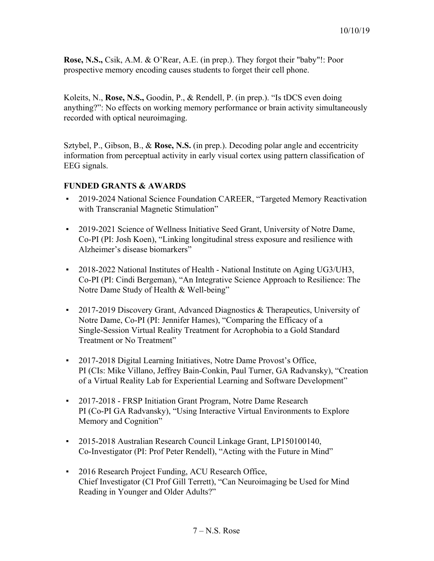**Rose, N.S.,** Csik, A.M. & O'Rear, A.E. (in prep.). They forgot their "baby"!: Poor prospective memory encoding causes students to forget their cell phone.

Koleits, N., **Rose, N.S.,** Goodin, P., & Rendell, P. (in prep.). "Is tDCS even doing anything?": No effects on working memory performance or brain activity simultaneously recorded with optical neuroimaging.

Sztybel, P., Gibson, B., & **Rose, N.S.** (in prep.). Decoding polar angle and eccentricity information from perceptual activity in early visual cortex using pattern classification of EEG signals.

## **FUNDED GRANTS & AWARDS**

- 2019-2024 National Science Foundation CAREER, "Targeted Memory Reactivation with Transcranial Magnetic Stimulation"
- 2019-2021 Science of Wellness Initiative Seed Grant, University of Notre Dame, Co-PI (PI: Josh Koen), "Linking longitudinal stress exposure and resilience with Alzheimer's disease biomarkers"
- 2018-2022 National Institutes of Health National Institute on Aging UG3/UH3, Co-PI (PI: Cindi Bergeman), "An Integrative Science Approach to Resilience: The Notre Dame Study of Health & Well-being"
- 2017-2019 Discovery Grant, Advanced Diagnostics & Therapeutics, University of Notre Dame, Co-PI (PI: Jennifer Hames), "Comparing the Efficacy of a Single-Session Virtual Reality Treatment for Acrophobia to a Gold Standard Treatment or No Treatment"
- 2017-2018 Digital Learning Initiatives, Notre Dame Provost's Office, PI (CIs: Mike Villano, Jeffrey Bain-Conkin, Paul Turner, GA Radvansky), "Creation of a Virtual Reality Lab for Experiential Learning and Software Development"
- 2017-2018 FRSP Initiation Grant Program, Notre Dame Research PI (Co-PI GA Radvansky), "Using Interactive Virtual Environments to Explore Memory and Cognition"
- 2015-2018 Australian Research Council Linkage Grant, LP150100140, Co-Investigator (PI: Prof Peter Rendell), "Acting with the Future in Mind"
- 2016 Research Project Funding, ACU Research Office, Chief Investigator (CI Prof Gill Terrett), "Can Neuroimaging be Used for Mind Reading in Younger and Older Adults?"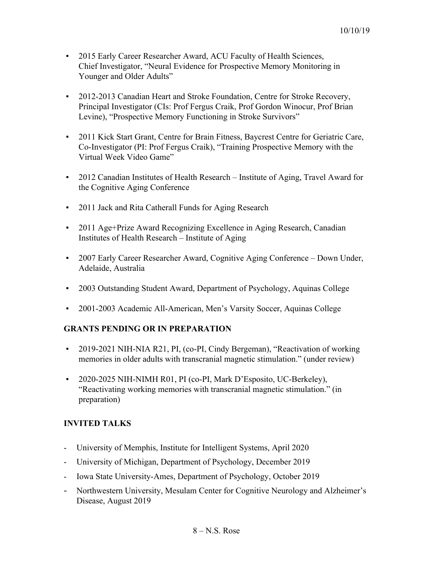- 2015 Early Career Researcher Award, ACU Faculty of Health Sciences, Chief Investigator, "Neural Evidence for Prospective Memory Monitoring in Younger and Older Adults"
- 2012-2013 Canadian Heart and Stroke Foundation, Centre for Stroke Recovery, Principal Investigator (CIs: Prof Fergus Craik, Prof Gordon Winocur, Prof Brian Levine), "Prospective Memory Functioning in Stroke Survivors"
- 2011 Kick Start Grant, Centre for Brain Fitness, Baycrest Centre for Geriatric Care, Co-Investigator (PI: Prof Fergus Craik), "Training Prospective Memory with the Virtual Week Video Game"
- 2012 Canadian Institutes of Health Research Institute of Aging, Travel Award for the Cognitive Aging Conference
- **2011 Jack and Rita Catherall Funds for Aging Research**
- 2011 Age+Prize Award Recognizing Excellence in Aging Research, Canadian Institutes of Health Research – Institute of Aging
- 2007 Early Career Researcher Award, Cognitive Aging Conference Down Under, Adelaide, Australia
- 2003 Outstanding Student Award, Department of Psychology, Aquinas College
- 2001-2003 Academic All-American, Men's Varsity Soccer, Aquinas College

## **GRANTS PENDING OR IN PREPARATION**

- 2019-2021 NIH-NIA R21, PI, (co-PI, Cindy Bergeman), "Reactivation of working memories in older adults with transcranial magnetic stimulation." (under review)
- 2020-2025 NIH-NIMH R01, PI (co-PI, Mark D'Esposito, UC-Berkeley), "Reactivating working memories with transcranial magnetic stimulation." (in preparation)

## **INVITED TALKS**

- University of Memphis, Institute for Intelligent Systems, April 2020
- University of Michigan, Department of Psychology, December 2019
- Iowa State University-Ames, Department of Psychology, October 2019
- Northwestern University, Mesulam Center for Cognitive Neurology and Alzheimer's Disease, August 2019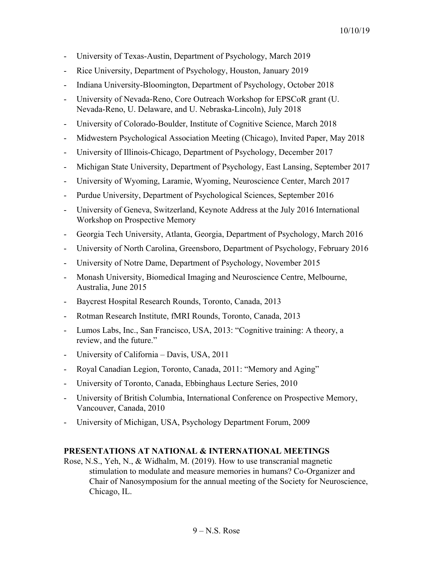- University of Texas-Austin, Department of Psychology, March 2019
- Rice University, Department of Psychology, Houston, January 2019
- Indiana University-Bloomington, Department of Psychology, October 2018
- University of Nevada-Reno, Core Outreach Workshop for EPSCoR grant (U. Nevada-Reno, U. Delaware, and U. Nebraska-Lincoln), July 2018
- University of Colorado-Boulder, Institute of Cognitive Science, March 2018
- Midwestern Psychological Association Meeting (Chicago), Invited Paper, May 2018
- University of Illinois-Chicago, Department of Psychology, December 2017
- Michigan State University, Department of Psychology, East Lansing, September 2017
- University of Wyoming, Laramie, Wyoming, Neuroscience Center, March 2017
- Purdue University, Department of Psychological Sciences, September 2016
- University of Geneva, Switzerland, Keynote Address at the July 2016 International Workshop on Prospective Memory
- Georgia Tech University, Atlanta, Georgia, Department of Psychology, March 2016
- University of North Carolina, Greensboro, Department of Psychology, February 2016
- University of Notre Dame, Department of Psychology, November 2015
- Monash University, Biomedical Imaging and Neuroscience Centre, Melbourne, Australia, June 2015
- Baycrest Hospital Research Rounds, Toronto, Canada, 2013
- Rotman Research Institute, fMRI Rounds, Toronto, Canada, 2013
- Lumos Labs, Inc., San Francisco, USA, 2013: "Cognitive training: A theory, a review, and the future."
- University of California Davis, USA, 2011
- Royal Canadian Legion, Toronto, Canada, 2011: "Memory and Aging"
- University of Toronto, Canada, Ebbinghaus Lecture Series, 2010
- University of British Columbia, International Conference on Prospective Memory, Vancouver, Canada, 2010
- University of Michigan, USA, Psychology Department Forum, 2009

### **PRESENTATIONS AT NATIONAL & INTERNATIONAL MEETINGS**

Rose, N.S., Yeh, N., & Widhalm, M. (2019). How to use transcranial magnetic stimulation to modulate and measure memories in humans? Co-Organizer and Chair of Nanosymposium for the annual meeting of the Society for Neuroscience, Chicago, IL.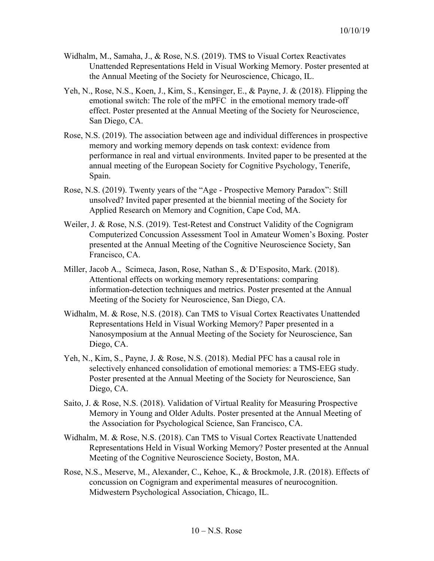- Widhalm, M., Samaha, J., & Rose, N.S. (2019). TMS to Visual Cortex Reactivates Unattended Representations Held in Visual Working Memory. Poster presented at the Annual Meeting of the Society for Neuroscience, Chicago, IL.
- Yeh, N., Rose, N.S., Koen, J., Kim, S., Kensinger, E., & Payne, J. & (2018). Flipping the emotional switch: The role of the mPFC in the emotional memory trade-off effect. Poster presented at the Annual Meeting of the Society for Neuroscience, San Diego, CA.
- Rose, N.S. (2019). The association between age and individual differences in prospective memory and working memory depends on task context: evidence from performance in real and virtual environments. Invited paper to be presented at the annual meeting of the European Society for Cognitive Psychology, Tenerife, Spain.
- Rose, N.S. (2019). Twenty years of the "Age Prospective Memory Paradox": Still unsolved? Invited paper presented at the biennial meeting of the Society for Applied Research on Memory and Cognition, Cape Cod, MA.
- Weiler, J. & Rose, N.S. (2019). Test-Retest and Construct Validity of the Cognigram Computerized Concussion Assessment Tool in Amateur Women's Boxing. Poster presented at the Annual Meeting of the Cognitive Neuroscience Society, San Francisco, CA.
- Miller, Jacob A., Scimeca, Jason, Rose, Nathan S., & D'Esposito, Mark. (2018). Attentional effects on working memory representations: comparing information-detection techniques and metrics. Poster presented at the Annual Meeting of the Society for Neuroscience, San Diego, CA.
- Widhalm, M. & Rose, N.S. (2018). Can TMS to Visual Cortex Reactivates Unattended Representations Held in Visual Working Memory? Paper presented in a Nanosymposium at the Annual Meeting of the Society for Neuroscience, San Diego, CA.
- Yeh, N., Kim, S., Payne, J. & Rose, N.S. (2018). Medial PFC has a causal role in selectively enhanced consolidation of emotional memories: a TMS-EEG study. Poster presented at the Annual Meeting of the Society for Neuroscience, San Diego, CA.
- Saito, J. & Rose, N.S. (2018). Validation of Virtual Reality for Measuring Prospective Memory in Young and Older Adults. Poster presented at the Annual Meeting of the Association for Psychological Science, San Francisco, CA.
- Widhalm, M. & Rose, N.S. (2018). Can TMS to Visual Cortex Reactivate Unattended Representations Held in Visual Working Memory? Poster presented at the Annual Meeting of the Cognitive Neuroscience Society, Boston, MA.
- Rose, N.S., Meserve, M., Alexander, C., Kehoe, K., & Brockmole, J.R. (2018). Effects of concussion on Cognigram and experimental measures of neurocognition. Midwestern Psychological Association, Chicago, IL.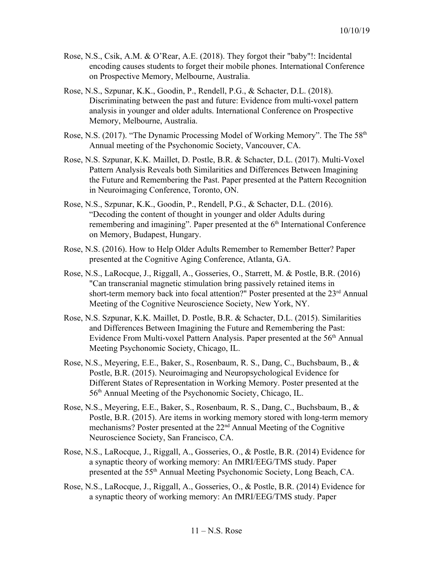- Rose, N.S., Csik, A.M. & O'Rear, A.E. (2018). They forgot their "baby"!: Incidental encoding causes students to forget their mobile phones. International Conference on Prospective Memory, Melbourne, Australia.
- Rose, N.S., Szpunar, K.K., Goodin, P., Rendell, P.G., & Schacter, D.L. (2018). Discriminating between the past and future: Evidence from multi-voxel pattern analysis in younger and older adults. International Conference on Prospective Memory, Melbourne, Australia.
- Rose, N.S. (2017). "The Dynamic Processing Model of Working Memory". The The 58<sup>th</sup> Annual meeting of the Psychonomic Society, Vancouver, CA.
- Rose, N.S. Szpunar, K.K. Maillet, D. Postle, B.R. & Schacter, D.L. (2017). Multi-Voxel Pattern Analysis Reveals both Similarities and Differences Between Imagining the Future and Remembering the Past. Paper presented at the Pattern Recognition in Neuroimaging Conference, Toronto, ON.
- Rose, N.S., Szpunar, K.K., Goodin, P., Rendell, P.G., & Schacter, D.L. (2016). "Decoding the content of thought in younger and older Adults during remembering and imagining". Paper presented at the 6<sup>th</sup> International Conference on Memory, Budapest, Hungary.
- Rose, N.S. (2016). How to Help Older Adults Remember to Remember Better? Paper presented at the Cognitive Aging Conference, Atlanta, GA.
- Rose, N.S., LaRocque, J., Riggall, A., Gosseries, O., Starrett, M. & Postle, B.R. (2016) "Can transcranial magnetic stimulation bring passively retained items in short-term memory back into focal attention?" Poster presented at the 23<sup>rd</sup> Annual Meeting of the Cognitive Neuroscience Society, New York, NY.
- Rose, N.S. Szpunar, K.K. Maillet, D. Postle, B.R. & Schacter, D.L. (2015). Similarities and Differences Between Imagining the Future and Remembering the Past: Evidence From Multi-voxel Pattern Analysis. Paper presented at the 56<sup>th</sup> Annual Meeting Psychonomic Society, Chicago, IL.
- Rose, N.S., Meyering, E.E., Baker, S., Rosenbaum, R. S., Dang, C., Buchsbaum, B., & Postle, B.R. (2015). Neuroimaging and Neuropsychological Evidence for Different States of Representation in Working Memory. Poster presented at the 56<sup>th</sup> Annual Meeting of the Psychonomic Society, Chicago, IL.
- Rose, N.S., Meyering, E.E., Baker, S., Rosenbaum, R. S., Dang, C., Buchsbaum, B., & Postle, B.R. (2015). Are items in working memory stored with long-term memory mechanisms? Poster presented at the 22<sup>nd</sup> Annual Meeting of the Cognitive Neuroscience Society, San Francisco, CA.
- Rose, N.S., LaRocque, J., Riggall, A., Gosseries, O., & Postle, B.R. (2014) Evidence for a synaptic theory of working memory: An fMRI/EEG/TMS study. Paper presented at the 55<sup>th</sup> Annual Meeting Psychonomic Society, Long Beach, CA.
- Rose, N.S., LaRocque, J., Riggall, A., Gosseries, O., & Postle, B.R. (2014) Evidence for a synaptic theory of working memory: An fMRI/EEG/TMS study. Paper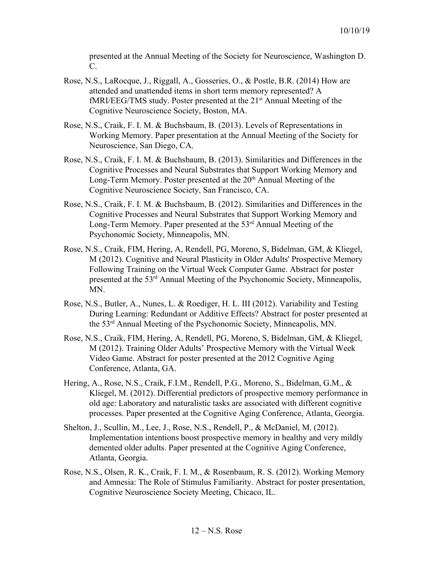presented at the Annual Meeting of the Society for Neuroscience, Washington D. C.

- Rose, N.S., LaRocque, J., Riggall, A., Gosseries, O., & Postle, B.R. (2014) How are attended and unattended items in short term memory represented? A fMRI/EEG/TMS study. Poster presented at the 21<sup>st</sup> Annual Meeting of the Cognitive Neuroscience Society, Boston, MA.
- Rose, N.S., Craik, F. I. M. & Buchsbaum, B. (2013). Levels of Representations in Working Memory. Paper presentation at the Annual Meeting of the Society for Neuroscience, San Diego, CA.
- Rose, N.S., Craik, F. I. M. & Buchsbaum, B. (2013). Similarities and Differences in the Cognitive Processes and Neural Substrates that Support Working Memory and Long-Term Memory. Poster presented at the 20<sup>th</sup> Annual Meeting of the Cognitive Neuroscience Society, San Francisco, CA.
- Rose, N.S., Craik, F. I. M. & Buchsbaum, B. (2012). Similarities and Differences in the Cognitive Processes and Neural Substrates that Support Working Memory and Long-Term Memory. Paper presented at the 53<sup>rd</sup> Annual Meeting of the Psychonomic Society, Minneapolis, MN.
- Rose, N.S., Craik, FIM, Hering, A, Rendell, PG, Moreno, S, Bidelman, GM, & Kliegel, M (2012). Cognitive and Neural Plasticity in Older Adults' Prospective Memory Following Training on the Virtual Week Computer Game. Abstract for poster presented at the 53<sup>rd</sup> Annual Meeting of the Psychonomic Society, Minneapolis, MN.
- Rose, N.S., Butler, A., Nunes, L. & Roediger, H. L. III (2012). Variability and Testing During Learning: Redundant or Additive Effects? Abstract for poster presented at the 53rd Annual Meeting of the Psychonomic Society, Minneapolis, MN.
- Rose, N.S., Craik, FIM, Hering, A, Rendell, PG, Moreno, S, Bidelman, GM, & Kliegel, M (2012). Training Older Adults' Prospective Memory with the Virtual Week Video Game. Abstract for poster presented at the 2012 Cognitive Aging Conference, Atlanta, GA.
- Hering, A., Rose, N.S., Craik, F.I.M., Rendell, P.G., Moreno, S., Bidelman, G.M., & Kliegel, M. (2012). Differential predictors of prospective memory performance in old age: Laboratory and naturalistic tasks are associated with different cognitive processes. Paper presented at the Cognitive Aging Conference, Atlanta, Georgia.
- Shelton, J., Scullin, M., Lee, J., Rose, N.S., Rendell, P., & McDaniel, M. (2012). Implementation intentions boost prospective memory in healthy and very mildly demented older adults. Paper presented at the Cognitive Aging Conference, Atlanta, Georgia.
- Rose, N.S., Olsen, R. K., Craik, F. I. M., & Rosenbaum, R. S. (2012). Working Memory and Amnesia: The Role of Stimulus Familiarity. Abstract for poster presentation, Cognitive Neuroscience Society Meeting, Chicaco, IL.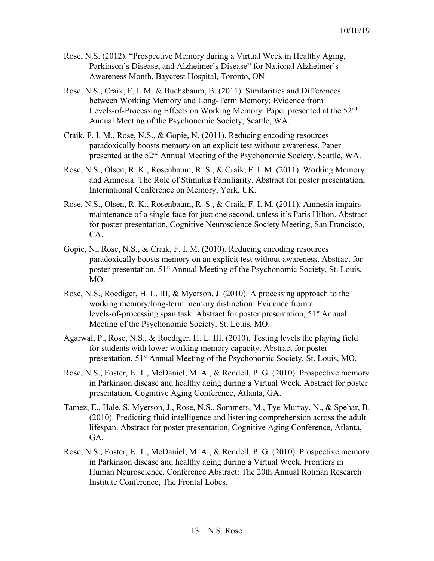- Rose, N.S. (2012). "Prospective Memory during a Virtual Week in Healthy Aging, Parkinson's Disease, and Alzheimer's Disease" for National Alzheimer's Awareness Month, Baycrest Hospital, Toronto, ON
- Rose, N.S., Craik, F. I. M. & Buchsbaum, B. (2011). Similarities and Differences between Working Memory and Long-Term Memory: Evidence from Levels-of-Processing Effects on Working Memory. Paper presented at the 52<sup>nd</sup> Annual Meeting of the Psychonomic Society, Seattle, WA.
- Craik, F. I. M., Rose, N.S., & Gopie, N. (2011). Reducing encoding resources paradoxically boosts memory on an explicit test without awareness. Paper presented at the 52<sup>nd</sup> Annual Meeting of the Psychonomic Society, Seattle, WA.
- Rose, N.S., Olsen, R. K., Rosenbaum, R. S., & Craik, F. I. M. (2011). Working Memory and Amnesia: The Role of Stimulus Familiarity. Abstract for poster presentation, International Conference on Memory, York, UK.
- Rose, N.S., Olsen, R. K., Rosenbaum, R. S., & Craik, F. I. M. (2011). Amnesia impairs maintenance of a single face for just one second, unless it's Paris Hilton. Abstract for poster presentation, Cognitive Neuroscience Society Meeting, San Francisco, CA.
- Gopie, N., Rose, N.S., & Craik, F. I. M. (2010). Reducing encoding resources paradoxically boosts memory on an explicit test without awareness. Abstract for poster presentation, 51<sup>st</sup> Annual Meeting of the Psychonomic Society, St. Louis, MO.
- Rose, N.S., Roediger, H. L. III, & Myerson, J. (2010). A processing approach to the working memory/long-term memory distinction: Evidence from a levels-of-processing span task. Abstract for poster presentation, 51<sup>st</sup> Annual Meeting of the Psychonomic Society, St. Louis, MO.
- Agarwal, P., Rose, N.S., & Roediger, H. L. III. (2010). Testing levels the playing field for students with lower working memory capacity. Abstract for poster presentation, 51<sup>st</sup> Annual Meeting of the Psychonomic Society, St. Louis, MO.
- Rose, N.S., Foster, E. T., McDaniel, M. A., & Rendell, P. G. (2010). Prospective memory in Parkinson disease and healthy aging during a Virtual Week. Abstract for poster presentation, Cognitive Aging Conference, Atlanta, GA.
- Tamez, E., Hale, S. Myerson, J., Rose, N.S., Sommers, M., Tye-Murray, N., & Spehar, B. (2010). Predicting fluid intelligence and listening comprehension across the adult lifespan. Abstract for poster presentation, Cognitive Aging Conference, Atlanta, GA.
- Rose, N.S., Foster, E. T., McDaniel, M. A., & Rendell, P. G. (2010). Prospective memory in Parkinson disease and healthy aging during a Virtual Week. Frontiers in Human Neuroscience. Conference Abstract: The 20th Annual Rotman Research Institute Conference, The Frontal Lobes.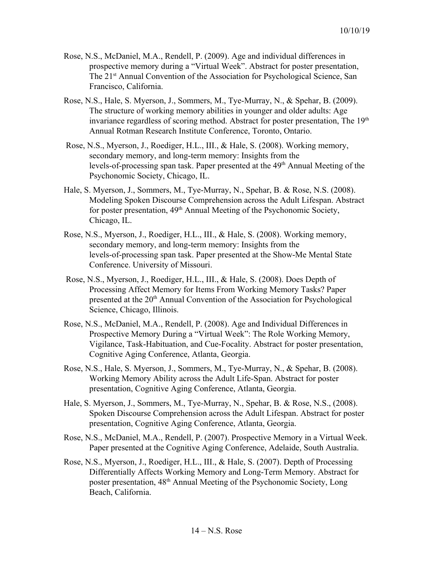- Rose, N.S., McDaniel, M.A., Rendell, P. (2009). Age and individual differences in prospective memory during a "Virtual Week". Abstract for poster presentation, The 21<sup>st</sup> Annual Convention of the Association for Psychological Science, San Francisco, California.
- Rose, N.S., Hale, S. Myerson, J., Sommers, M., Tye-Murray, N., & Spehar, B. (2009). The structure of working memory abilities in younger and older adults: Age invariance regardless of scoring method. Abstract for poster presentation, The 19<sup>th</sup> Annual Rotman Research Institute Conference, Toronto, Ontario.
- Rose, N.S., Myerson, J., Roediger, H.L., III., & Hale, S. (2008). Working memory, secondary memory, and long-term memory: Insights from the levels-of-processing span task. Paper presented at the 49<sup>th</sup> Annual Meeting of the Psychonomic Society, Chicago, IL.
- Hale, S. Myerson, J., Sommers, M., Tye-Murray, N., Spehar, B. & Rose, N.S. (2008). Modeling Spoken Discourse Comprehension across the Adult Lifespan. Abstract for poster presentation, 49<sup>th</sup> Annual Meeting of the Psychonomic Society, Chicago, IL.
- Rose, N.S., Myerson, J., Roediger, H.L., III., & Hale, S. (2008). Working memory, secondary memory, and long-term memory: Insights from the levels-of-processing span task. Paper presented at the Show-Me Mental State Conference. University of Missouri.
- Rose, N.S., Myerson, J., Roediger, H.L., III., & Hale, S. (2008). Does Depth of Processing Affect Memory for Items From Working Memory Tasks? Paper presented at the 20<sup>th</sup> Annual Convention of the Association for Psychological Science, Chicago, Illinois.
- Rose, N.S., McDaniel, M.A., Rendell, P. (2008). Age and Individual Differences in Prospective Memory During a "Virtual Week": The Role Working Memory, Vigilance, Task-Habituation, and Cue-Focality. Abstract for poster presentation, Cognitive Aging Conference, Atlanta, Georgia.
- Rose, N.S., Hale, S. Myerson, J., Sommers, M., Tye-Murray, N., & Spehar, B. (2008). Working Memory Ability across the Adult Life-Span. Abstract for poster presentation, Cognitive Aging Conference, Atlanta, Georgia.
- Hale, S. Myerson, J., Sommers, M., Tye-Murray, N., Spehar, B. & Rose, N.S., (2008). Spoken Discourse Comprehension across the Adult Lifespan. Abstract for poster presentation, Cognitive Aging Conference, Atlanta, Georgia.
- Rose, N.S., McDaniel, M.A., Rendell, P. (2007). Prospective Memory in a Virtual Week. Paper presented at the Cognitive Aging Conference, Adelaide, South Australia.
- Rose, N.S., Myerson, J., Roediger, H.L., III., & Hale, S. (2007). Depth of Processing Differentially Affects Working Memory and Long-Term Memory. Abstract for poster presentation, 48<sup>th</sup> Annual Meeting of the Psychonomic Society, Long Beach, California.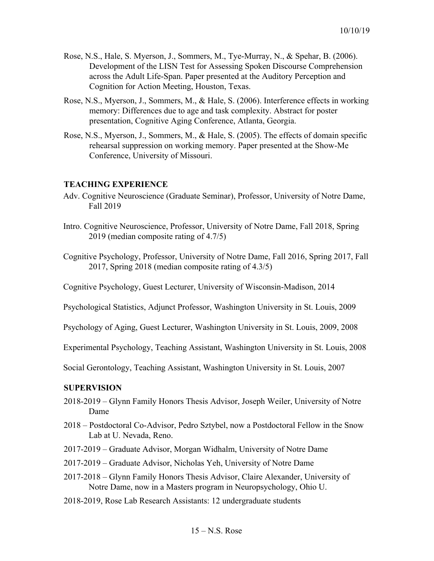- Rose, N.S., Hale, S. Myerson, J., Sommers, M., Tye-Murray, N., & Spehar, B. (2006). Development of the LISN Test for Assessing Spoken Discourse Comprehension across the Adult Life-Span. Paper presented at the Auditory Perception and Cognition for Action Meeting, Houston, Texas.
- Rose, N.S., Myerson, J., Sommers, M., & Hale, S. (2006). Interference effects in working memory: Differences due to age and task complexity. Abstract for poster presentation, Cognitive Aging Conference, Atlanta, Georgia.
- Rose, N.S., Myerson, J., Sommers, M., & Hale, S. (2005). The effects of domain specific rehearsal suppression on working memory. Paper presented at the Show-Me Conference, University of Missouri.

## **TEACHING EXPERIENCE**

- Adv. Cognitive Neuroscience (Graduate Seminar), Professor, University of Notre Dame, Fall 2019
- Intro. Cognitive Neuroscience, Professor, University of Notre Dame, Fall 2018, Spring 2019 (median composite rating of 4.7/5)
- Cognitive Psychology, Professor, University of Notre Dame, Fall 2016, Spring 2017, Fall 2017, Spring 2018 (median composite rating of 4.3/5)

Cognitive Psychology, Guest Lecturer, University of Wisconsin-Madison, 2014

Psychological Statistics, Adjunct Professor, Washington University in St. Louis, 2009

Psychology of Aging, Guest Lecturer, Washington University in St. Louis, 2009, 2008

Experimental Psychology, Teaching Assistant, Washington University in St. Louis, 2008

Social Gerontology, Teaching Assistant, Washington University in St. Louis, 2007

### **SUPERVISION**

- 2018-2019 Glynn Family Honors Thesis Advisor, Joseph Weiler, University of Notre Dame
- 2018 Postdoctoral Co-Advisor, Pedro Sztybel, now a Postdoctoral Fellow in the Snow Lab at U. Nevada, Reno.
- 2017-2019 Graduate Advisor, Morgan Widhalm, University of Notre Dame
- 2017-2019 Graduate Advisor, Nicholas Yeh, University of Notre Dame
- 2017-2018 Glynn Family Honors Thesis Advisor, Claire Alexander, University of Notre Dame, now in a Masters program in Neuropsychology, Ohio U.
- 2018-2019, Rose Lab Research Assistants: 12 undergraduate students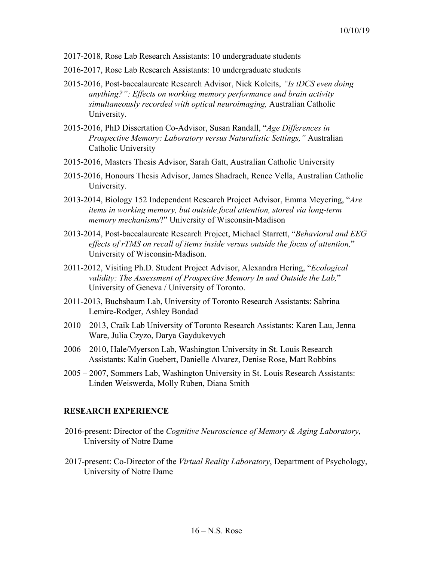- 2017-2018, Rose Lab Research Assistants: 10 undergraduate students
- 2016-2017, Rose Lab Research Assistants: 10 undergraduate students
- 2015-2016, Post-baccalaureate Research Advisor, Nick Koleits, *"Is tDCS even doing anything?": Effects on working memory performance and brain activity simultaneously recorded with optical neuroimaging,* Australian Catholic University.
- 2015-2016, PhD Dissertation Co-Advisor, Susan Randall, "*Age Differences in Prospective Memory: Laboratory versus Naturalistic Settings,"* Australian Catholic University
- 2015-2016, Masters Thesis Advisor, Sarah Gatt, Australian Catholic University
- 2015-2016, Honours Thesis Advisor, James Shadrach, Renee Vella, Australian Catholic University.
- 2013-2014, Biology 152 Independent Research Project Advisor, Emma Meyering, "*Are items in working memory, but outside focal attention, stored via long-term memory mechanisms*?" University of Wisconsin-Madison
- 2013-2014, Post-baccalaureate Research Project, Michael Starrett, "*Behavioral and EEG effects of rTMS on recall of items inside versus outside the focus of attention,*" University of Wisconsin-Madison.
- 2011-2012, Visiting Ph.D. Student Project Advisor, Alexandra Hering, "*Ecological validity: The Assessment of Prospective Memory In and Outside the Lab,*" University of Geneva / University of Toronto.
- 2011-2013, Buchsbaum Lab, University of Toronto Research Assistants: Sabrina Lemire-Rodger, Ashley Bondad
- 2010 2013, Craik Lab University of Toronto Research Assistants: Karen Lau, Jenna Ware, Julia Czyzo, Darya Gaydukevych
- 2006 2010, Hale/Myerson Lab, Washington University in St. Louis Research Assistants: Kalin Guebert, Danielle Alvarez, Denise Rose, Matt Robbins
- 2005 2007, Sommers Lab, Washington University in St. Louis Research Assistants: Linden Weiswerda, Molly Ruben, Diana Smith

### **RESEARCH EXPERIENCE**

- 2016-present: Director of the *Cognitive Neuroscience of Memory & Aging Laboratory*, University of Notre Dame
- 2017-present: Co-Director of the *Virtual Reality Laboratory*, Department of Psychology, University of Notre Dame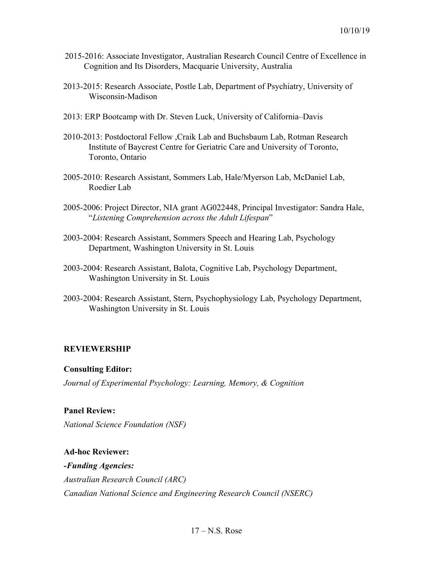- 2015-2016: Associate Investigator, Australian Research Council Centre of Excellence in Cognition and Its Disorders, Macquarie University, Australia
- 2013-2015: Research Associate, Postle Lab, Department of Psychiatry, University of Wisconsin-Madison
- 2013: ERP Bootcamp with Dr. Steven Luck, University of California–Davis
- 2010-2013: Postdoctoral Fellow ,Craik Lab and Buchsbaum Lab, Rotman Research Institute of Baycrest Centre for Geriatric Care and University of Toronto, Toronto, Ontario
- 2005-2010: Research Assistant, Sommers Lab, Hale/Myerson Lab, McDaniel Lab, Roedier Lab
- 2005-2006: Project Director, NIA grant AG022448, Principal Investigator: Sandra Hale, "*Listening Comprehension across the Adult Lifespan*"
- 2003-2004: Research Assistant, Sommers Speech and Hearing Lab, Psychology Department, Washington University in St. Louis
- 2003-2004: Research Assistant, Balota, Cognitive Lab, Psychology Department, Washington University in St. Louis
- 2003-2004: Research Assistant, Stern, Psychophysiology Lab, Psychology Department, Washington University in St. Louis

### **REVIEWERSHIP**

### **Consulting Editor:**

*Journal of Experimental Psychology: Learning, Memory, & Cognition*

## **Panel Review:**

*National Science Foundation (NSF)*

**Ad-hoc Reviewer:** *-Funding Agencies: Australian Research Council (ARC) Canadian National Science and Engineering Research Council (NSERC)*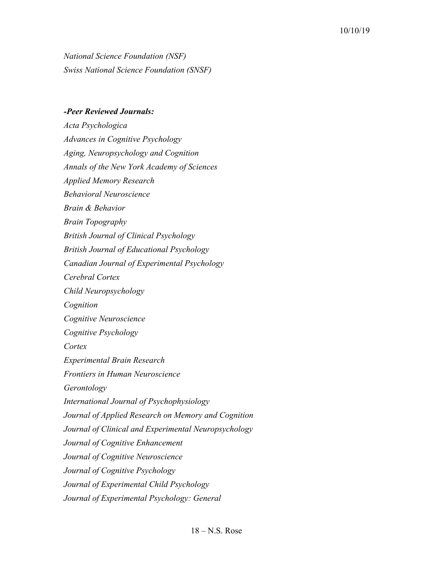*National Science Foundation (NSF) Swiss National Science Foundation (SNSF)*

#### *-Peer Reviewed Journals:*

*Acta Psychologica Advances in Cognitive Psychology Aging, Neuropsychology and Cognition Annals of the New York Academy of Sciences Applied Memory Research Behavioral Neuroscience Brain & Behavior Brain Topography British Journal of Clinical Psychology British Journal of Educational Psychology Canadian Journal of Experimental Psychology Cerebral Cortex Child Neuropsychology Cognition Cognitive Neuroscience Cognitive Psychology Cortex Experimental Brain Research Frontiers in Human Neuroscience Gerontology International Journal of Psychophysiology Journal of Applied Research on Memory and Cognition Journal of Clinical and Experimental Neuropsychology Journal of Cognitive Enhancement Journal of Cognitive Neuroscience Journal of Cognitive Psychology Journal of Experimental Child Psychology Journal of Experimental Psychology: General*